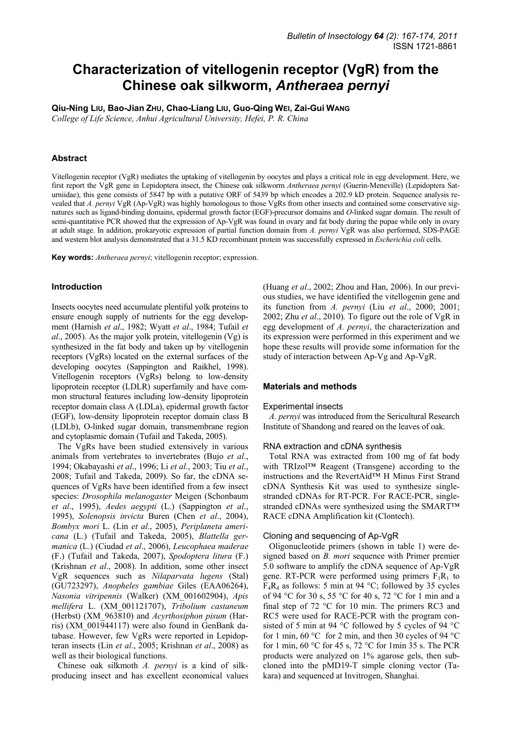# **Characterization of vitellogenin receptor (VgR) from the Chinese oak silkworm,** *Antheraea pernyi*

**Qiu-Ning LIU, Bao-Jian ZHU, Chao-Liang LIU, Guo-Qing WEI, Zai-Gui WANG**

*College of Life Science, Anhui Agricultural University, Hefei, P. R. China* 

### **Abstract**

Vitellogenin receptor (VgR) mediates the uptaking of vitellogenin by oocytes and plays a critical role in egg development. Here, we first report the VgR gene in Lepidoptera insect, the Chinese oak silkworm *Antheraea pernyi* (Guerin-Meneville) (Lepidoptera Saturniidae), this gene consists of 5847 bp with a putative ORF of 5439 bp which encodes a 202.9 kD protein. Sequence analysis revealed that *A. pernyi* VgR (Ap-VgR) was highly homologous to those VgRs from other insects and contained some conservative signatures such as ligand-binding domains, epidermal growth factor (EGF)-precursor domains and *O*-linked sugar domain. The result of semi-quantitative PCR showed that the expression of Ap-VgR was found in ovary and fat body during the pupae while only in ovary at adult stage. In addition, prokaryotic expression of partial function domain from *A. pernyi* VgR was also performed, SDS-PAGE and western blot analysis demonstrated that a 31.5 KD recombinant protein was successfully expressed in *Escherichia coli* cells.

**Key words:** *Antheraea pernyi*; vitellogenin receptor; expression.

### **Introduction**

Insects oocytes need accumulate plentiful yolk proteins to ensure enough supply of nutrients for the egg development (Harnish *et al*., 1982; Wyatt *et al*., 1984; Tufail *et al*., 2005). As the major yolk protein, vitellogenin (Vg) is synthesized in the fat body and taken up by vitellogenin receptors (VgRs) located on the external surfaces of the developing oocytes (Sappington and Raikhel, 1998). Vitellogenin receptors (VgRs) belong to low-density lipoprotein receptor (LDLR) superfamily and have common structural features including low-density lipoprotein receptor domain class A (LDLa), epidermal growth factor (EGF), low-density lipoprotein receptor domain class B (LDLb), O-linked sugar domain, transmembrane region and cytoplasmic domain (Tufail and Takeda, 2005).

The VgRs have been studied extensively in various animals from vertebrates to invertebrates (Bujo *et al*., 1994; Okabayashi *et al*., 1996; Li *et al*., 2003; Tiu *et al*., 2008; Tufail and Takeda, 2009). So far, the cDNA sequences of VgRs have been identified from a few insect species: *Drosophila melanogaster* Meigen (Schonbaum *et al*., 1995), *Aedes aegypti* (L.) (Sappington *et al*., 1995), *Solenopsis invicta* Buren (Chen *et al*., 2004), *Bombyx mori* L. (Lin *et al*., 2005), *Periplaneta americana* (L.) (Tufail and Takeda, 2005), *Blattella germanica* (L.) (Ciudad *et al*., 2006), *Leucophaea maderae*  (F.) (Tufail and Takeda, 2007), *Spodoptera litura* (F.) (Krishnan *et al*., 2008). In addition, some other insect VgR sequences such as *Nilaparvata lugens* (Stal) (GU723297), *Anopheles gambiae* Giles (EAA06264), *Nasonia vitripennis* (Walker) (XM\_001602904), *Apis mellifera* L. (XM\_001121707), *Tribolium castaneum*  (Herbst) (XM\_963810) and *Acyrthosiphon pisum* (Harris) (XM\_001944117) were also found in GenBank database. However, few VgRs were reported in Lepidopteran insects (Lin *et al*., 2005; Krishnan *et al*., 2008) as well as their biological functions.

Chinese oak silkmoth *A. pernyi* is a kind of silkproducing insect and has excellent economical values

(Huang *et al*., 2002; Zhou and Han, 2006). In our previous studies, we have identified the vitellogenin gene and its function from *A. pernyi* (Liu *et al*., 2000; 2001; 2002; Zhu *et al*., 2010)*.* To figure out the role of VgR in egg development of *A. pernyi*, the characterization and its expression were performed in this experiment and we hope these results will provide some information for the study of interaction between Ap-Vg and Ap-VgR.

### **Materials and methods**

#### Experimental insects

*A. pernyi* was introduced from the Sericultural Research Institute of Shandong and reared on the leaves of oak.

#### RNA extraction and cDNA synthesis

Total RNA was extracted from 100 mg of fat body with TRIzol™ Reagent (Transgene) according to the instructions and the RevertAid™ H Minus First Strand cDNA Synthesis Kit was used to synthesize singlestranded cDNAs for RT-PCR. For RACE-PCR, singlestranded cDNAs were synthesized using the SMART™ RACE cDNA Amplification kit (Clontech).

#### Cloning and sequencing of Ap-VgR

Oligonucleotide primers (shown in table 1) were designed based on *B. mori* sequence with Primer premier 5.0 software to amplify the cDNA sequence of Ap-VgR gene. RT-PCR were performed using primers  $F_1R_1$  to  $F_4R_4$  as follows: 5 min at 94 °C; followed by 35 cycles of 94 °C for 30 s, 55 °C for 40 s, 72 °C for 1 min and a final step of 72 °C for 10 min. The primers RC3 and RC5 were used for RACE-PCR with the program consisted of 5 min at 94 °C followed by 5 cycles of 94 °C for 1 min, 60 °C for 2 min, and then 30 cycles of 94 °C for 1 min, 60 °C for 45 s, 72 °C for 1 min 35 s. The PCR products were analyzed on 1% agarose gels, then subcloned into the pMD19-T simple cloning vector (Takara) and sequenced at Invitrogen, Shanghai.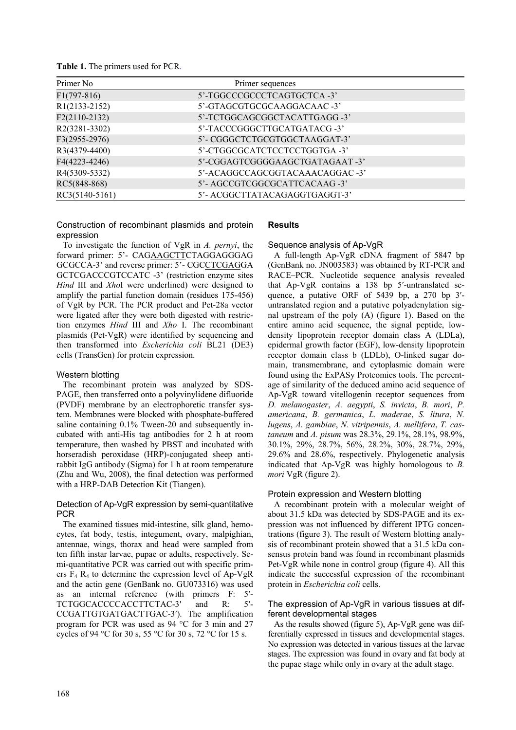| Table 1. The primers used for PCR. |  |  |  |  |  |
|------------------------------------|--|--|--|--|--|
|------------------------------------|--|--|--|--|--|

| Primer No                  | Primer sequences               |
|----------------------------|--------------------------------|
| $F1(797-816)$              | 5'-TGGCCCGCCCTCAGTGCTCA-3'     |
| R <sub>1</sub> (2133-2152) | 5'-GTAGCGTGCGCAAGGACAAC-3'     |
| $F2(2110-2132)$            | 5'-TCTGGCAGCGGCTACATTGAGG-3'   |
| R2(3281-3302)              | 5'-TACCCGGGCTTGCATGATACG-3'    |
| $F3(2955-2976)$            | 5'-CGGGCTCTGCGTGGCTAAGGAT-3'   |
| R3(4379-4400)              | 5'-CTGGCGCATCTCCTCCTGGTGA-3'   |
| F4(4223-4246)              | 5'-CGGAGTCGGGGAAGCTGATAGAAT-3' |
| R4(5309-5332)              | 5'-ACAGGCCAGCGGTACAAACAGGAC-3' |
| RC5(848-868)               | 5'-AGCCGTCGGCGCATTCACAAG-3'    |
| RC3(5140-5161)             | 5'- ACGGCTTATACAGAGGTGAGGT-3'  |

Construction of recombinant plasmids and protein expression

# **Results**

Sequence analysis of Ap-VgR

To investigate the function of VgR in *A. pernyi*, the forward primer: 5'- CAGAAGCTTCTAGGAGGGAG GCGCCA-3' and reverse primer: 5'- CGCCTCGAGGA GCTCGACCCGTCCATC -3' (restriction enzyme sites *Hind* III and *Xho*I were underlined) were designed to amplify the partial function domain (residues 175-456) of VgR by PCR. The PCR product and Pet-28a vector were ligated after they were both digested with restriction enzymes *Hind* III and *Xho* I. The recombinant plasmids (Pet-VgR) were identified by sequencing and then transformed into *Escherichia coli* BL21 (DE3) cells (TransGen) for protein expression.

# Western blotting

The recombinant protein was analyzed by SDS-PAGE, then transferred onto a polyvinylidene difluoride (PVDF) membrane by an electrophoretic transfer system. Membranes were blocked with phosphate-buffered saline containing 0.1% Tween-20 and subsequently incubated with anti-His tag antibodies for 2 h at room temperature, then washed by PBST and incubated with horseradish peroxidase (HRP)-conjugated sheep antirabbit IgG antibody (Sigma) for 1 h at room temperature (Zhu and Wu, 2008), the final detection was performed with a HRP-DAB Detection Kit (Tiangen).

# Detection of Ap-VgR expression by semi-quantitative PCR

The examined tissues mid-intestine, silk gland, hemocytes, fat body, testis, integument, ovary, malpighian, antennae, wings, thorax and head were sampled from ten fifth instar larvae, pupae or adults, respectively. Semi-quantitative PCR was carried out with specific primers  $F_4$  R<sub>4</sub> to determine the expression level of Ap-VgR and the actin gene (GenBank no. GU073316) was used as an internal reference (with primers F: 5′- TCTGGCACCCCACCTTCTAC-3' and R: 5'-CCGATTGTGATGACTTGAC-3′). The amplification program for PCR was used as 94 °C for 3 min and 27 cycles of 94 °C for 30 s, 55 °C for 30 s, 72 °C for 15 s.

A full-length Ap-VgR cDNA fragment of 5847 bp (GenBank no. JN003583) was obtained by RT-PCR and RACE–PCR. Nucleotide sequence analysis revealed that Ap-VgR contains a 138 bp 5′-untranslated sequence, a putative ORF of 5439 bp, a 270 bp 3'untranslated region and a putative polyadenylation signal upstream of the poly (A) (figure 1). Based on the entire amino acid sequence, the signal peptide, lowdensity lipoprotein receptor domain class A (LDLa), epidermal growth factor (EGF), low-density lipoprotein receptor domain class b (LDLb), O-linked sugar domain, transmembrane, and cytoplasmic domain were found using the ExPASy Proteomics tools. The percentage of similarity of the deduced amino acid sequence of Ap-VgR toward vitellogenin receptor sequences from *D. melanogaster*, *A. aegypti*, *S. invicta*, *B. mori*, *P. americana*, *B. germanica*, *L. maderae*, *S. litura*, *N. lugens*, *A. gambiae*, *N. vitripennis*, *A. mellifera*, *T. castaneum* and *A. pisum* was 28.3%, 29.1%, 28.1%, 98.9%, 30.1%, 29%, 28.7%, 56%, 28.2%, 30%, 28.7%, 29%, 29.6% and 28.6%, respectively. Phylogenetic analysis indicated that Ap-VgR was highly homologous to *B.* 

# Protein expression and Western blotting

*mori* VgR (figure 2).

A recombinant protein with a molecular weight of about 31.5 kDa was detected by SDS-PAGE and its expression was not influenced by different IPTG concentrations (figure 3). The result of Western blotting analysis of recombinant protein showed that a 31.5 kDa consensus protein band was found in recombinant plasmids Pet-VgR while none in control group (figure 4). All this indicate the successful expression of the recombinant protein in *Escherichia coli* cells.

# The expression of Ap-VgR in various tissues at different developmental stages

As the results showed (figure 5), Ap-VgR gene was differentially expressed in tissues and developmental stages. No expression was detected in various tissues at the larvae stages. The expression was found in ovary and fat body at the pupae stage while only in ovary at the adult stage.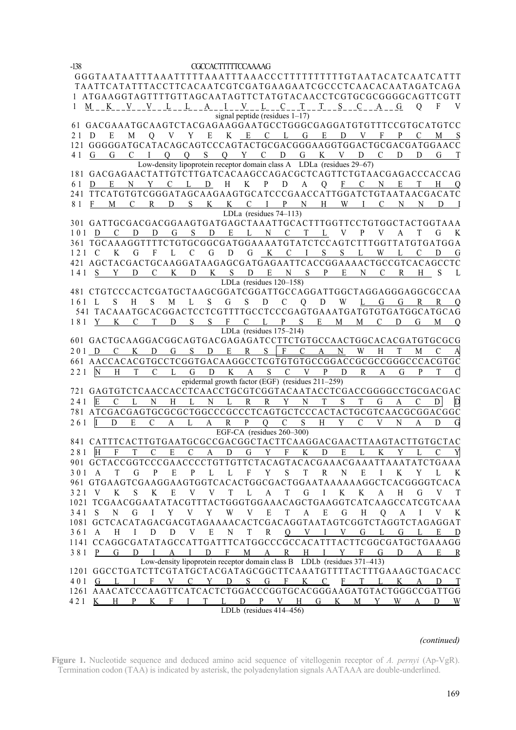-138 CGCCACTTTTTCCAAAAG GGGTAATAATTTAAATTTTTAA A T T T A A A C C C T T T T T T T T T T G T A A T A C A T C A A T C A T T T T A A T T C A T A T T T A C C T T C A C A A T C G T C G A T G A A G A A T C G C C C T C A A C A C A A T A G A T C A G A 1 ATGAAGGTAGTTTTGTTAGCAATAGTTCTATGTACAACCTCGTGCGCGGGGCAGTTCGTT 1 M \_ \_ K \_ \_ V \_ \_ V \_ \_ L \_ \_ L \_ \_ A \_ \_ I \_ \_ V \_ \_ L \_ \_ C \_ \_ T \_ \_ T \_ \_ S \_ \_ C \_ \_ A \_ \_ G \_ Q \_ F \_ V signal peptide (residues 1–17) 61 GACGAAATGCAAGTCTACGAGAA GG A A TG C C TG G GC G AG GA T G T G T T TC C G T G C A T G TC C 21 D E M Q V Y E K E C L G E D V F P C M 121 GGGGGATGCATACAGCAGTCCCAGTACTGCGACGGGAAGGTGGACTGCGACGATGGAACC 4 1 G G C I Q Q S Q Y C D G K V D C D D G T Low-density lipoprotein receptor domain class A LDLa (residues 29–67) 181 GACGAGAACTATTGTCTTGATCACAAGCCAGACGCTCAGTTCTG TAACGAGACCCACCAG 6 1 D E N Y C L D H K P D A Q F C N E T H Q 241 TTCA TGTG TCGG GATAGCAA GAAGTGCA TCCCGAAC CATTGGA TCTGTAA TA ACGACATC 8 1 F M C R D S K K C I P N H W I C N N D I LDLa (residues 74–113) 301 GATTGCGACGAC GGAAG TG A TGAG CTA A ATTGCAC TTTGG TTCC TG TGGC TA CTGG TAA A 1 0 1 D C D D G S D E L N C T L V P V A T G K 361 TGCAAAGGTTTTCTGTGCGGCGATGGAAAATGTATCTCCAGTCTTTGGTTATGTGATGGA 1 2 1 C K G F L C G D G K C I S S L W L C D G 421 AGCTACGACTGCAAGGATAAGAGCGATGAGAATTCACCGGAAAACTGCCGTCACAGCCTC 1 4 1 S Y D C K D K S D E N S P E N C R H S L LDLa (residues 120–158) 481 CTGTCCCACTCGATGCTAAGCGGATCGGATTGCCAGGATTGGCTAGGAGGGAGGCGCCAA 1 6 1 L S H S M L S G S D C Q D W L G G R R Q 541 TACAAATGCACGGACTCCTCGTTTTGCCTCCCGAGTGAAATGATGTGTGATGGCATGCAG 1 8 1 Y K C T D S S F C L P S E M M C D G M Q LDLa (residues 175–214) 601 GACTGCAAGGACGGCAGTGACGAGAGATCCTTCTGTGCCAACTGGCACACGATGTGCGCG 201 <u>D C K D G S D E R S F C A N</u> W H T M C A 661 AACCACACGTGCCTCGGTGACAAGGCCTCGTGTGTGCCGGACCGCGCCGGGCCCACGTGC 221 N H T C L G D K A S C V P D R A G P epidermal growth factor (EGF) (residues 211–259) 721 GAGTGTCTCAACCACCTCAACCTGCGTCGGTACAATACCTCGACCGGGGCCTGCGACGA C 241 E C L N H L N L R R Y N T S T G A C D D 781 A TCGACGAGTGCGCGCTGGC CCGCCCTCAGTGCTCCCACTACTGCGTCAACGCGGACGGC 2 6 1 I D E C A L A R P Q C S H Y C V N A D G EGF-CA (residues 260–300) 841 CATTTCACTTGTGAATGCGCCGACGGCTACTTCAAGGACGAACTTAAGTACTTGTGCTAC 2 8 1 H F T C E C A D G Y F K D E L K Y L C 901 GCTA CCGGTCCC GAACCCC TGTTGTTC TACAGTACA CGAAACG A AATTAA ATATC TGAA A 3 0 1 A T G P E P L L F Y S T R N E I K Y L K 961 GTGAAGTCGAAGGAAGTGGTCACACTGGCGACTGGAATAAAAAAGGCTCACGGGGTCACA 3 2 1 V K S K E V V T L A T G I K K A H G V T 1021 TCGAACGGAATATACGTTTACTGGGTGGAAACAGCTGAAGGTCATCAAGCCATCGTCAAA 3 4 1 S N G I Y V Y W V E T A E G H Q A I V K 1081 GCTCACATAGACGACGTAGAAAACACTCGACAGGTAATAGTCGGTCTAGGTCTAGAGGAT 3 6 1 A H I D D V E N T R Q V I V G L G L E D 1141 CCAGGCGATATAGCCATTGATTTCATGGCCCGCCACATTTACTTCGGCGATGCTGAAAGG 3 8 1 P G D I A I D F M A R H I Y F G D A E R Low-density lipoprotein receptor domain class B LDLb (residues 371–413) 1201 GGCC TGA TCTTC GTA TGCTA CGATAGCG GCTTCA AA TGTTTTAC TTTG AAAGC TGACA C C 4 0 1 G L I F V C Y D S G F K C F T L K A D T 1261 AAACATCCCAAGTTCATCACTCTGGACCCGGTGCACGGGAAGATGTACTGGGCCGATTGG 4 2 1 K H P K F I T L D P V H G K M Y W A D W LDLb (residues 414–456)

### *(continued)*

**Figure 1.** Nucleotide sequence and deduced amino acid sequence of vitellogenin receptor of *A. pernyi* (Ap-VgR). Termination codon (TAA) is indicated by asterisk, the polyadenylation signals AATAAA are double-underlined.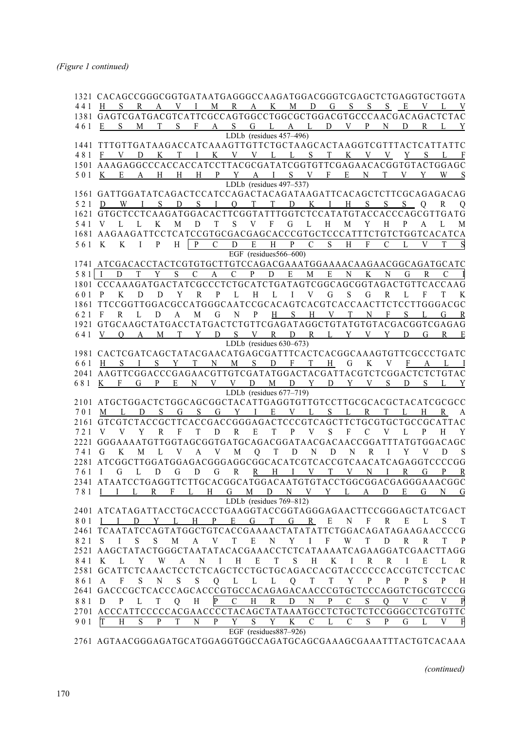|       | 1321 CACAGCCGGGGGGTGATAATGAGGGCCAAGATGGACGGGTCGAGCTCTGAGGTGCTGGTA                 |              |                |                                    |               |               |           |              |                             |                |                             |               |   |              |              |              |                                |
|-------|-----------------------------------------------------------------------------------|--------------|----------------|------------------------------------|---------------|---------------|-----------|--------------|-----------------------------|----------------|-----------------------------|---------------|---|--------------|--------------|--------------|--------------------------------|
|       | 441 H S R A V I M R A K M D G S S S E V L V                                       |              |                |                                    |               |               |           |              |                             |                |                             |               |   |              |              |              |                                |
|       | 1381 GAGTCGATGACGTCATTCGCCAGTGGCCTGGCGCTGGACGTGCCCAACGACAGACTCTAC                 |              |                |                                    |               |               |           |              |                             |                |                             |               |   |              |              |              |                                |
|       |                                                                                   |              |                |                                    |               |               |           |              |                             |                |                             |               |   |              |              |              |                                |
|       | 461 ESM TSFASGLALD VPNDRLY                                                        |              |                |                                    |               |               |           |              | LDLb (residues $457-496$ )  |                |                             |               |   |              |              |              |                                |
|       |                                                                                   |              |                |                                    |               |               |           |              |                             |                |                             |               |   |              |              |              |                                |
|       | 1441 TTTGTTGATAAGACCATCAAAGTTGTTCTGCTAAGCACTAAGGTCGTTTACTCATTATTC                 |              |                |                                    |               |               |           |              |                             |                |                             |               |   |              |              |              |                                |
| 481   | F V D K T I K V V L L S T K V V                                                   |              |                |                                    |               |               |           |              |                             |                |                             |               |   |              |              | Y S L        |                                |
|       | 1501 AAAGAGGCCCACCACCATCCTTACGCGATATCGGTGTTCGAGAACACGGTGTACTGGAGC                 |              |                |                                    |               |               |           |              |                             |                |                             |               |   |              |              |              |                                |
| 501   | K E A H H                                                                         |              |                | H P <u>Y A I S V F E N T V Y W</u> |               |               |           |              |                             |                |                             |               |   |              |              |              |                                |
|       |                                                                                   |              |                |                                    |               |               |           |              | LDLb (residues $497-537$ )  |                |                             |               |   |              |              |              |                                |
|       | 1561 GATTGGATATCAGACTCCATCCAGACTACAGATAAGATTCACAGCTCTTCGCAGAGACAG                 |              |                |                                    |               |               |           |              |                             |                |                             |               |   |              |              |              |                                |
| 5 2 1 | D W I S D S I O T T D K I H S S S Q R                                             |              |                |                                    |               |               |           |              |                             |                |                             |               |   |              |              |              | $\overline{Q}$                 |
|       | 1621 GTGCTCCTCAAGATGGACACTTCGGTATTTGGTCTCCATATGTACCACCCAGCGTTGATG                 |              |                |                                    |               |               |           |              |                             |                |                             |               |   |              |              |              |                                |
|       | 541 V L L                                                                         | K            | M              |                                    | D T           |               |           |              |                             |                | S V F G L H M               |               | Y | H            | P            | A            | L<br>M                         |
|       |                                                                                   |              |                |                                    |               |               |           |              |                             |                |                             |               |   |              |              |              |                                |
|       | 561 K K I P                                                                       |              | H              | $\boxed{P}$                        | $\mathcal{C}$ | D             | E         | H            | $\overline{P}$              |                | C S                         | H             | F | $\mathbf{C}$ | $\mathbf{L}$ | V            | T                              |
|       |                                                                                   |              |                |                                    |               |               |           |              | EGF (residues $566 - 600$ ) |                |                             |               |   |              |              |              |                                |
|       | 1741 ATCGACACCTACTCGTGTGCTTGTCCAGACGAAATGGAAAACAAGAACGGCAGATGCATC                 |              |                |                                    |               |               |           |              |                             |                |                             |               |   |              |              |              |                                |
|       | $581$   I D                                                                       | Y            | S              | $\mathcal{C}$                      |               |               | A C P D E |              |                             | M              | E                           | $\mathbf N$   | K | N            | $\mathsf{G}$ | $\mathbf{R}$ |                                |
|       | 1801 CCCAAAGATGACTATCGCCCTCTGCATCTGATAGTCGGCAGCGGTAGACTGTTCACCAAG                 |              |                |                                    |               |               |           |              |                             |                |                             |               |   |              |              |              |                                |
|       | $K$ D D                                                                           |              | Y              | R P L H L I V G S G                |               |               |           |              |                             |                |                             |               |   | $\mathbf{R}$ | $-L - F$     |              | K                              |
|       | 1861 TTCCGGTTGGACGCCATGGGCAATCCGCACAGTCACGTCACCAACTTCTCCTTGGGACGC                 |              |                |                                    |               |               |           |              |                             |                |                             |               |   |              |              |              |                                |
|       | $L \cdot D$                                                                       |              |                |                                    |               |               |           |              |                             |                |                             |               |   |              |              |              |                                |
| 621 F | $\mathbf{R}$<br>1921 GTGCAAGCTATGACCTATGACTCTGTTCGAGATAGGCTGTATGTGTACGACGGTCGAGAG |              | A              |                                    |               |               |           |              |                             |                | M G N P H S H V T N F S L G |               |   |              |              |              |                                |
|       |                                                                                   |              |                |                                    |               |               |           |              |                             |                |                             |               |   |              |              |              |                                |
|       | 641 V O A M T Y D S V R D R L Y V Y D G R E                                       |              |                |                                    |               |               |           |              | LDLb (residues $630-673$ )  |                |                             |               |   |              |              |              |                                |
|       |                                                                                   |              |                |                                    |               |               |           |              |                             |                |                             |               |   |              |              |              |                                |
|       | 1981 CACTCGATCAGCTATACGAACATGAGCGATTTCACTCACGGCAAAGTGTTCGCCCTGATC                 |              |                |                                    |               |               |           |              |                             |                |                             |               |   |              |              |              |                                |
|       | 661 H S I S Y T N M S D F T H G K V F A L                                         |              |                |                                    |               |               |           |              |                             |                |                             |               |   |              |              |              |                                |
|       | 2041 AAGTTCGGACCCGAGAACGTTGTCGATATGGACTACGATTACGTCTCGGACTCTCTGTAC                 |              |                |                                    |               |               |           |              |                             |                |                             |               |   |              |              |              |                                |
| 681   | $K$ F G                                                                           |              | P E N          |                                    |               |               |           |              |                             |                | V V D M D Y D Y V S D S L   |               |   |              |              |              |                                |
|       |                                                                                   |              |                |                                    |               |               |           |              | LDLb (residues $677-719$ )  |                |                             |               |   |              |              |              |                                |
|       | 2101 ATGCTGGACTCTGGCAGCGGCTACATTGAGGTGTTGTCCTTGCGCACGCTACATCGCGCC                 |              |                |                                    |               |               |           |              |                             |                |                             |               |   |              |              |              |                                |
| 701   | M L D S G S G Y I E V L S L R T L H R A                                           |              |                |                                    |               |               |           |              |                             |                |                             |               |   |              |              |              |                                |
|       | 2161 GTCGTCTACCGCTTCACCGACCGGGAGACTCCCGTCAGCTTCTGCGTGCTGCCGCATTAC                 |              |                |                                    |               |               |           |              |                             |                |                             |               |   |              |              |              |                                |
|       | 721 V V Y                                                                         |              |                | R F T D                            |               |               |           |              |                             |                | R E T P V S F               |               |   | $C$ $V$ $L$  |              |              | $P$ H<br>Y                     |
|       | 2221 GGGAAAATGTTGGTAGCGGTGATGCAGACGGATAACGACAACCGGATTTATGTGGACAGC                 |              |                |                                    |               |               |           |              |                             |                |                             |               |   |              |              |              |                                |
| 741 G | K<br>M                                                                            | $\mathbf{L}$ |                | V A V M Q T D N D N R I            |               |               |           |              |                             |                |                             |               |   |              | Y            | V            | $\overline{D}$<br><sup>S</sup> |
|       | 2281 ATCGGCTTGGATGGAGACGGGAGGCGGCACATCGTCACCGTCAACATCAGAGGTCCCCGG                 |              |                |                                    |               |               |           |              |                             |                |                             |               |   |              |              |              |                                |
|       | $G \cup L$<br>761 I                                                               |              |                | D G D G R                          |               |               |           |              |                             |                | R H I V T V N I R G         |               |   |              |              |              |                                |
|       | 2341 ATAATCCTGAGGTTCTTGCACGGCATGGACAATGTGTACCTGGCGGACGAGGGAAACGGC                 |              |                |                                    |               |               |           |              |                             |                |                             |               |   |              |              |              |                                |
| 781   |                                                                                   | R            |                |                                    | H             | G             | M         | D            | N                           | V <sub>v</sub> | Y                           |               |   | D            | E            | G            |                                |
|       |                                                                                   |              |                |                                    |               |               |           |              | LDLb (residues 769-812)     |                |                             |               |   |              |              |              |                                |
|       | 2401 ATCATAGATTACCTGCACCCTGAAGGTACCGGTAGGGAGAACTTCCGGGAGCTATCGACT                 |              |                |                                    |               |               |           |              |                             |                |                             |               |   |              |              |              |                                |
| 801   | $I$ $I$ $D$                                                                       |              |                | Y L H P E G T G R E                |               |               |           |              |                             |                |                             | N             | F | R            | E            | L            | S<br>T                         |
|       | 2461 TCAATATCCAGTATGGCTGTCACCGAAAACTATATATTCTGGACAGATAGAAGAACCCCG                 |              |                |                                    |               |               |           |              |                             |                |                             |               |   |              |              |              |                                |
| 821   | <sup>S</sup><br>Ι<br>S.                                                           | S.           | M              | A                                  | V             | T.            | E         | N            | Y                           | $\bf{I}$       | F                           | W             | T | D            | R            | R            | T<br>P                         |
|       | 2521 AAGCTATACTGGGCTAATATACACGAAACCTCTCATAAAATCAGAAGGATCGAACTTAGG                 |              |                |                                    |               |               |           |              |                             |                |                             |               |   |              |              |              |                                |
|       | K<br>L                                                                            |              | A              |                                    | I             | H             | E         |              |                             |                | K                           | Ι             |   | R            | L            | E            | L                              |
| 841   | Y                                                                                 | W            |                | N                                  |               |               |           | T            | S.                          | H              |                             |               | R |              |              |              | R                              |
|       | 2581 GCATTCTCAAACTCCTCTCAGCTCCTGCTGCAGACCACGTACCCCCCACCGTCTCCTCAC                 |              |                |                                    |               |               |           |              |                             |                |                             |               |   |              |              |              |                                |
| 861   | $\mathsf{A}$<br>S<br>F                                                            | N            | S              | S                                  | Q             | L             | L         | L            | Q                           | T              | T                           | Y             | P | $\mathbf{P}$ | P            | S            | P<br>Н                         |
|       | 2641 GACCCGCTCACCCAGCACCCGTGCCACAGAGACAACCCGTGCTCCCAGGTCTGCGTCCCG                 |              |                |                                    |               |               |           |              |                             |                |                             |               |   |              |              |              |                                |
| 881   | D<br>P<br>L                                                                       | T            | $\overline{Q}$ | H                                  | P             | $\mathcal{C}$ | H         | $\mathbb{R}$ | D                           | N              | $\mathbf{P}$                | C             | S | O            | V            | C            | V                              |
|       | 2701 ACCCATTCCCCCACGAACCCCTACAGCTATAAATGCCTCTGCTCTCCGGGCCTCGTGTTC                 |              |                |                                    |               |               |           |              |                             |                |                             |               |   |              |              |              |                                |
| 901   | lΤ<br>H<br>S                                                                      | P            | T              | N                                  | P             | Y             | S         | Y            | K                           | C              | L                           | $\mathcal{C}$ | S | P            | G            | $\mathbf{L}$ | V                              |
|       |                                                                                   |              |                |                                    |               |               |           |              | EGF (residues887-926)       |                |                             |               |   |              |              |              |                                |
|       |                                                                                   |              |                |                                    |               |               |           |              |                             |                |                             |               |   |              |              |              |                                |

*(continued)*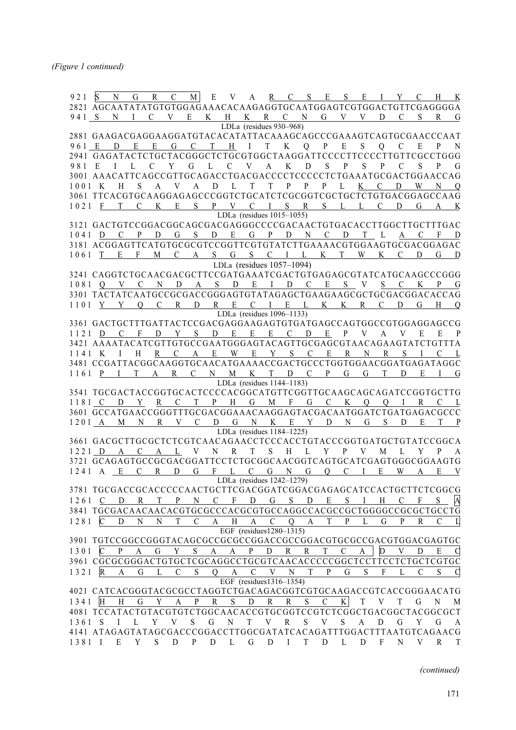| 921      | N                                                                 | G                       | $\mathbb{R}$                  | $\mathcal{C}$                     |               |               |              | MEVA <u>RCSESEIYCHK</u>      |                 |             |              |               |              |                |               |                |              |               |   |
|----------|-------------------------------------------------------------------|-------------------------|-------------------------------|-----------------------------------|---------------|---------------|--------------|------------------------------|-----------------|-------------|--------------|---------------|--------------|----------------|---------------|----------------|--------------|---------------|---|
|          | 2821 AGCAATATATGTGTGGAGAAACACAAGAGGTGCAATGGAGTCGTGGACTGTTCGAGGGGA |                         |                               |                                   |               |               |              |                              |                 |             |              |               |              |                |               |                |              |               |   |
|          | 941 S N I C V E K H K R C N G V V D C S R G                       |                         |                               |                                   |               |               |              |                              |                 |             |              |               |              |                |               |                |              |               |   |
|          |                                                                   |                         |                               |                                   |               |               |              | LDLa (residues 930-968)      |                 |             |              |               |              |                |               |                |              |               |   |
|          | 2881 GAAGACGAGGAAGGATGTACACATATTACAAAGCAGCCCGAAAGTCAGTGCGAACCCAAT |                         |                               |                                   |               |               |              |                              |                 |             |              |               |              |                |               |                |              |               |   |
|          | 961 ED <u>EEG C T H</u> I T K Q P E S Q C E P N                   |                         |                               |                                   |               |               |              |                              |                 |             |              |               |              |                |               |                |              |               |   |
|          | 2941 GAGATACTCTGCTACGGGCTCTGCGTGGCTAAGGATTCCCCTTCCCCTTGTTCGCCTGGG |                         |                               |                                   |               |               |              |                              |                 |             |              |               |              |                |               |                |              |               |   |
| 981 E    | $\blacksquare$                                                    |                         | L C Y                         |                                   | $G$ L         |               |              | $C$ V A K D                  |                 |             |              | S             | P            | S              | P             | $\mathcal{C}$  | S.           | P             | G |
|          | 3001 AAACATTCAGCCGTTGCAGACCTGACGACCCCTCCCCCTCTGAAATGCGACTGGAACCAG |                         |                               |                                   |               |               |              |                              |                 |             |              |               |              |                |               |                |              |               |   |
| 1001 K   |                                                                   | S<br>H                  | A                             | V                                 | $\mathbf{A}$  | $\Box$        | $\mathbf{L}$ |                              | $T$ $T$ $P$ $P$ |             |              | $\mathbf{P}$  | L            | K C            |               | $\overline{D}$ | W            | N             |   |
|          | 3061 TTCACGTGCAAGGAGAGCCCGGTCTGCATCTCGCGGTCGCTGCTCTGTGACGGAGCCAAG |                         |                               |                                   |               |               |              |                              |                 |             |              |               |              |                |               |                |              |               |   |
| 1021 F   |                                                                   |                         | K                             | E                                 | <sub>S</sub>  | P             |              | V C I S R S L L              |                 |             |              |               |              |                | $\mathcal{C}$ | D              | $G$ and $G$  |               |   |
|          |                                                                   |                         |                               |                                   |               |               |              | LDLa (residues $1015-1055$ ) |                 |             |              |               |              |                |               |                |              |               |   |
|          |                                                                   |                         |                               |                                   |               |               |              |                              |                 |             |              |               |              |                |               |                |              |               |   |
|          | 1041 D C P D G S D E G P D N C D T L                              |                         |                               |                                   |               |               |              |                              |                 |             |              |               |              |                |               |                |              | A C F D       |   |
|          | 3181 ACGGAGTTCATGTGCGCGTCCGGTTCGTGTATCTTGAAAACGTGGAAGTGCGACGGAGAC |                         |                               |                                   |               |               |              |                              |                 |             |              |               |              |                |               |                |              |               |   |
|          | 1061 T E F                                                        |                         |                               | M C A S G S C I L K T W K C D G D |               |               |              | LDLa (residues 1057-1094)    |                 |             |              |               |              |                |               |                |              |               |   |
|          | 3241 CAGGTCTGCAACGACGCTTCCGATGAAATCGACTGTGAGAGCGTATCATGCAAGCCCGGG |                         |                               |                                   |               |               |              |                              |                 |             |              |               |              |                |               |                |              |               |   |
|          | 1081 O V C N D A S D E I D C E S V                                |                         |                               |                                   |               |               |              |                              |                 |             |              |               |              |                |               | S C K P        |              |               |   |
|          | 3301 TACTATCAATGCCGCGACCGGGAGTGTATAGAGCTGAAGAAGCGCTGCGACGGACACCAG |                         |                               |                                   |               |               |              |                              |                 |             |              |               |              |                |               |                |              |               |   |
|          | 1101 Y Y O C R D R E C I E L K K R C D G H O                      |                         |                               |                                   |               |               |              |                              |                 |             |              |               |              |                |               |                |              |               |   |
|          |                                                                   |                         |                               |                                   |               |               |              | LDLa (residues 1096-1133)    |                 |             |              |               |              |                |               |                |              |               |   |
|          | 3361 GACTGCTTTGATTACTCCGACGAGGAAGAGTGTGATGAGCCAGTGGCCGTGGAGGAGCCG |                         |                               |                                   |               |               |              |                              |                 |             |              |               |              |                |               |                |              |               |   |
|          | 1121 D C F D Y S D E E E C D E P V A V E                          |                         |                               |                                   |               |               |              |                              |                 |             |              |               |              |                |               |                |              | E             |   |
|          | 3421 AAAATACATCGTTGTGCCGAATGGGAGTACAGTTGCGAGCGTAACAGAAGTATCTGTTTA |                         |                               |                                   |               |               |              |                              |                 |             |              |               |              |                |               |                |              |               |   |
|          | 1141 K I                                                          | $\overline{\mathbf{H}}$ |                               | R C A E W E Y S C E R N R S I C   |               |               |              |                              |                 |             |              |               |              |                |               |                |              |               |   |
|          | 3481 CCGATTACGGCAAGGTGCAACATGAAAACCGACTGCCCTGGTGGAACGGATGAGATAGGC |                         |                               |                                   |               |               |              |                              |                 |             |              |               |              |                |               |                |              |               |   |
|          | $1161$ P I T A R C                                                |                         |                               |                                   |               | $\mathbb N$   |              | M K T D C P G G T D E I G    |                 |             |              |               |              |                |               |                |              |               |   |
|          |                                                                   |                         |                               |                                   |               |               |              | LDLa (residues 1144-1183)    |                 |             |              |               |              |                |               |                |              |               |   |
|          | 3541 TGCGACTACCGGTGCACTCCCCACGGCATGTTCGGTTGCAAGCAGCAGATCCGGTGCTTG |                         |                               |                                   |               |               |              |                              |                 |             |              |               |              |                |               |                |              |               |   |
|          | 1181 C D Y R C T P H G M F G C K O O I R C                        |                         |                               |                                   |               |               |              |                              |                 |             |              |               |              |                |               |                |              |               |   |
|          | 3601 GCCATGAACCGGGTTTGCGACGGAAACAAGGAGTACGACAATGGATCTGATGAGACGCCC |                         |                               |                                   |               |               |              |                              |                 |             |              |               |              |                |               |                |              |               |   |
|          | $1201 \text{ A}$                                                  | M                       | N R V C D G N K E Y D N G S D |                                   |               |               |              |                              |                 |             |              |               |              |                |               |                |              | E T P         |   |
|          |                                                                   |                         |                               |                                   |               |               |              | LDLa (residues $1184-1225$ ) |                 |             |              |               |              |                |               |                |              |               |   |
|          | 3661 GACGCTTGCGCTCTCGTCAACAGAACCTCCCACCTGTACCCGGTGATGCTGTATCCGGCA |                         |                               |                                   |               |               |              |                              |                 |             |              |               |              |                |               |                |              |               |   |
| $1221$ D |                                                                   | A C A L V N             |                               |                                   |               |               |              | $R$ T                        |                 | S H         | $\mathbf{L}$ |               | $Y \t P$     | V              | M             | L              | Y            |               |   |
|          | 3721 GCAGAGTGCCGCGACGGATTCCTCTGCGGCAACGGTCAGTGCATCGAGTGGGCGGAAGTG |                         |                               |                                   |               |               |              |                              |                 |             |              |               |              |                |               |                |              |               |   |
|          | 1241 A E C R D G F L C G N G Q C I E                              |                         |                               |                                   |               |               |              |                              |                 |             |              |               |              |                |               | W <sub>W</sub> |              |               |   |
|          |                                                                   |                         |                               | LDLa (residues $1242-1279$ )      |               |               |              |                              |                 |             |              |               |              |                |               |                |              |               |   |
|          | 3781 TGCGACCGCACCCCCAACTGCTTCGACGGATCGGACGAGAGCATCCACTGCTTCTCGGCG |                         |                               |                                   |               |               |              |                              |                 |             |              |               |              |                |               |                |              |               |   |
| 1261 C   |                                                                   | D<br>R                  | T                             | $\mathbf{P}$                      | N             | $\mathcal{C}$ |              | F D                          | G S D           |             |              | E             | S            | $\blacksquare$ | H             | $\mathbb{C}$   | $\mathbf{F}$ | S             | A |
|          | 3841 TGCGACAACAACACGTGCGCCCACGCGTGCCAGGCCACGCCGCTGGGGCCGCGCTGCCTG |                         |                               |                                   |               |               |              |                              |                 |             |              |               |              |                |               |                |              |               |   |
| 1281     | $\mathbf C$                                                       | $\mathbf N$<br>D        | N                             | T                                 | $\mathcal{C}$ | A             | H            | A                            | $\mathcal{C}$   | $\Omega$    | A            | T             | ${\bf P}$    | L              | G             | P              | $\mathbb{R}$ | $\mathcal{C}$ | Ц |
|          |                                                                   |                         |                               |                                   |               |               |              | EGF (residues1280-1315)      |                 |             |              |               |              |                |               |                |              |               |   |
|          | 3901 TGTCCGGCCGGGTACAGCGCCGCCGGGACCGCCGGACGTGCGCCGACGTGGACGAGTGC  |                         |                               |                                   |               |               |              |                              |                 |             |              |               |              |                |               |                |              |               |   |
| 1301     | $\mathbf C$                                                       | $\mathbf{P}$<br>A       | G                             | Y                                 | S             | A             | A            | P                            | D               | R           | R            | T             | C            | A              | D             | V              | D            | E             |   |
|          |                                                                   |                         |                               |                                   |               |               |              |                              |                 |             |              |               |              |                |               |                |              |               |   |
| 1321     | $\mathbb{R}$                                                      | A<br>G                  | L                             | C                                 | <sub>S</sub>  | $\Omega$      | A            | C                            | V               | N           | T            | P             | G            | S              | F             | L              | C            | S             |   |
|          |                                                                   |                         |                               |                                   |               |               |              | EGF (residues1316-1354)      |                 |             |              |               |              |                |               |                |              |               |   |
|          | 4021 CATCACGGGTACGCGCCTAGGTCTGACAGACGGTCGTGCAAGACCGTCACCGGGAACATG |                         |                               |                                   |               |               |              |                              |                 |             |              |               |              |                |               |                |              |               |   |
| 1341     | $\mathbb{H}$                                                      | H<br>G                  | Y                             | A                                 | P             | $\mathbb{R}$  | S            | $\mathbf D$                  | R               | R           | ${\bf S}$    | $\mathcal{C}$ | K            | T              | V             | T              | G            | N             | M |
|          | 4081 TCCATACTGTACGTGTCTGGCAACACCGTGCGGTCCGTCTCGGCTGACGGCTACGGCGCT |                         |                               |                                   |               |               |              |                              |                 |             |              |               |              |                |               |                |              |               |   |
| 1361     | <sup>S</sup>                                                      | L                       | Y                             | V                                 | S             | G             | N            | T                            | V               | R           | S            | V             | S            | A              | D             | G              | Y            | G             | A |
|          | 4141 ATAGAGTATAGCGACCCGGACCTTGGCGATATCACAGATTTGGACTTTAATGTCAGAACG |                         |                               |                                   |               |               |              |                              |                 |             |              |               |              |                |               |                |              |               |   |
| 1381 I   | E                                                                 | Y                       | S                             | D                                 | $\mathbf{P}$  | D             | $\mathbf{L}$ | G                            | D               | $\mathbf I$ | T            | D             | $\mathbf{L}$ | D              | F             | N              | V            | R             | T |

*(continued)*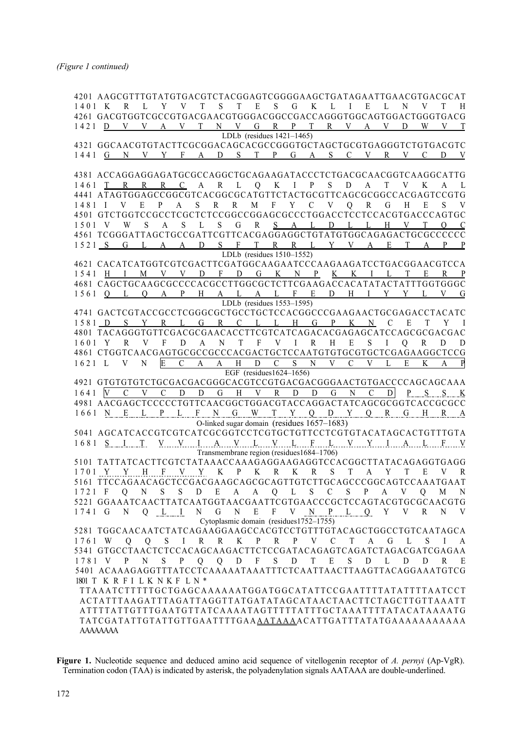4201 AAGCGTTTGTATGTGACGTCTACGGAGTCGGGGAAGCTGATAGAATTGAACGTGACGCAT 1 4 0 1 K R L Y V T S T E S G K L I E L N V T H 4261 GACGTGGTCGCCGTGACGAACGTGGGACGGCCGACCAGGGTGGCAGTGGACTGGGTGACG 1 4 2 1 D V V A V T N V G R P T R V A V D W V T LDLb (residues 1421–1465) 4321 GGCAACGTGTACTTCGCGGACAGCACGCCGGGTGCTAGCTGCGTGAGGGTCTGTGACGTC 1441 G N V Y F A D S T P G A S C V R V C D 4381 ACCAGGAGGAGATGCGCCAGGCTGCAGAAGATACCCTCTGACGCAACGGTCAAGGCATTG 1 4 6 1 T R R R C A R L Q K I P S D A T V K A L 4441 ATAGTGGAGCCGGCGTCACGGCGCATGTTCTACTGCGTTCAGCGCGGCCACGAGTCCGTG 1 4 8 1 I V E P A S R R M F Y C V Q R G H E S V 4501 GTCTGGTCCGCCTCGCTCTCCGGCCGGAGCGCCCTGGACCTCCTCCACGTGACCCAGTGC 1 5 0 1 V W S A S L S G R S A L D L L H V T Q C 4561 TCGGGATTAGCTGCCGATTCGTTCACGAGGAGGCTGTATGTGGCAGAGACTGCGCCCCCC 1 5 2 1 S G L A A D S F T R R L Y V A E T A P P LDLb (residues 1510–1552) 4621 CACATCATGGTCGTCGACTTCGATGGCAAGAATCCCAAGAAGATCCTGACGGAACGTCCA 1 5 4 1 H I M V V D F D G K N P K K I L T E R P 4681 CAGCTGCAAGCGCCCCACGCCTTGGCGCTCTTCGAAGACCACATATACTATTTGGTGGGC 1 5 6 1 Q L Q A P H A L A L F E D H I Y Y L V G LDLb (residues 1553–1595) 4741 GACTCGTACCGCCTCGGGCGCTGCCTGCTCCACGGCCCGAAGAACTGCGAGACCTACATC 1 5 8 1 D S Y R L G R C L L H G P K N C E T Y I 4801 TACAGGGTGTTCGACGCGAACACCTTCGTCATCAGACACGAGAGCATCCAGCGCGACGAC 1 6 0 1 Y R V F D A N T F V I R H E S I Q R D D 4861 CTGGTCAACGAGTGCGCCGCCCACGACTGCTCCAATGTGTGCGTGCTCGAGAAGGCTCCG 1 6 2 1 L V N E C A A H D C S N V C V L E K A P EGF (residues1624–1656) 4921 GTGTGTGTCTGCGACGACGGGCACGTCCGTGACGACGGGAACTGTGACCCCAGCAGCAAA 1641 V C V C D D G H V R D D G N C D P S S K 4981 AACGAGCTCCCCCTGTTCAACGGCTGGACGTACCAGGACTATCAGCGCGGTCACCGCGCC 1661 N E L P L F N G W T Y Q D Y Q R G H R A O-linked sugar domain (residues 1657–1683) 5041 AGCATCACCGTCGTCATCGCGGTCCTCGTGCTGTTCCTCGTGTACATAGCACTG TTTGTA 1 6 8 1 5 1 T V V I A V L V L F L V Y I A L F V Transmembrane region (residues1684–1706) 5101 TATTATCACTTCGTCTATAAACCAAAGAGGAAGAGGTCCACGGCTTATACAGAGGTGAGG 1701 <u>Y Y H F V Y</u> K P K R K R S T A Y T E V R 5161 TTCCAGAACAGCTCCGACGAAGCAGCGCAGTTGTCTTGCAGCCCGGCAGTCCAAATGAAT 1 7 2 1 F Q N S S D E A A Q L S C S P A V Q M N 5221 GGAAATCAACTTATCAATGGTAACGAATTCGTGAACCCGCTCCAGTACGTGCGCAACGTG 1741 G N Q <u>L I</u> N G N E F V <u>N P L Q</u> Y V R N V Cytoplasmic domain (residues1752–1755) 5281 TGGCAACAATCTATCAGAAGGAAGCCACGTCCTGTTTGTACAGCTGGCCTGTCAATAGCA 1 7 6 1 W Q Q S I R R K P R P V C T A G L S I A 5341 GTGCCTAACTCTCCACAGCAAGACTTCTCCGATACAGAGTCAGATCTAGACGATCGAGAA 1 7 8 1 V P N S P Q Q D F S D T E S D L D D R E 5401 ACAAAGAGGTTTATCCTCAAAAATAAATTTCTCAATTAACTTAAGTTACAGGAAATGTCG 1801 T K R F I L K N K F L N \* T T A A A T C T T T T T G C T G A G C A A A A A A T G G A T G G C A T A T T C C G A A T T T T A T A T T T T A A T C C T A C T A T T T A A G A T T T A G A T T A G G T T A T G A T A T A G C A T A A C T A A C T T C T A G C T T G T T A A A T T A T T T T A T T G T T T G A A T G T T A T C A A A A T A G T T T T T T T G C T A A A T T T T T A T A C A T A A A T G TATCGATATTGTATTGTTGAATTTTGAAAATAAA A C A T T G A T T T A T A T G A A A A A A A A A A A AAAAAAAA

**Figure 1.** Nucleotide sequence and deduced amino acid sequence of vitellogenin receptor of *A. pernyi* (Ap-VgR). Termination codon (TAA) is indicated by asterisk, the polyadenylation signals AATAAA are double-underlined.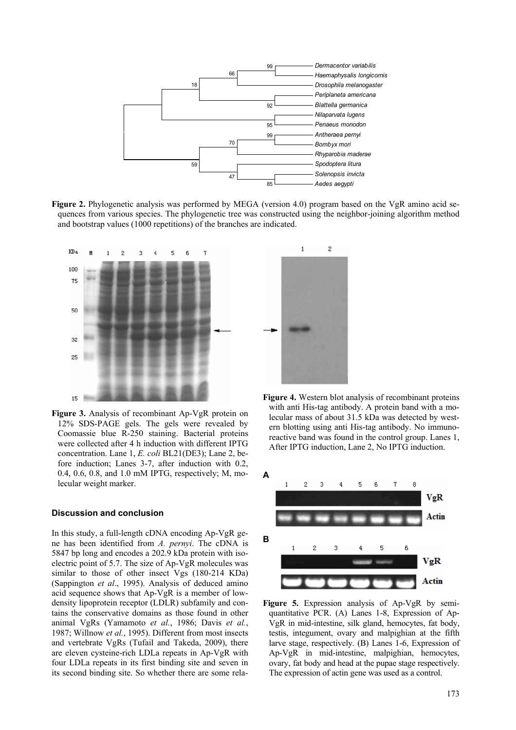

**Figure 2.** Phylogenetic analysis was performed by MEGA (version 4.0) program based on the VgR amino acid sequences from various species. The phylogenetic tree was constructed using the neighbor-joining algorithm method and bootstrap values (1000 repetitions) of the branches are indicated.



**Figure 3.** Analysis of recombinant Ap-VgR protein on 12% SDS-PAGE gels. The gels were revealed by Coomassie blue R-250 staining. Bacterial proteins were collected after 4 h induction with different IPTG concentration. Lane 1, *E. coli* BL21(DE3); Lane 2, before induction; Lanes 3-7, after induction with 0.2, 0.4, 0.6, 0.8, and 1.0 mM IPTG, respectively; M, molecular weight marker.

#### **Discussion and conclusion**

In this study, a full-length cDNA encoding Ap-VgR gene has been identified from *A. pernyi*. The cDNA is 5847 bp long and encodes a 202.9 kDa protein with isoelectric point of 5.7. The size of Ap-VgR molecules was similar to those of other insect Vgs (180-214 KDa) (Sappington *et al*., 1995). Analysis of deduced amino acid sequence shows that Ap-VgR is a member of lowdensity lipoprotein receptor (LDLR) subfamily and contains the conservative domains as those found in other animal VgRs (Yamamoto *et al.*, 1986; Davis *et al.*, 1987; Willnow *et al.*, 1995). Different from most insects and vertebrate VgRs (Tufail and Takeda, 2009), there are eleven cysteine-rich LDLa repeats in Ap-VgR with four LDLa repeats in its first binding site and seven in its second binding site. So whether there are some rela-



**Figure 4.** Western blot analysis of recombinant proteins with anti His-tag antibody. A protein band with a molecular mass of about 31.5 kDa was detected by western blotting using anti His-tag antibody. No immunoreactive band was found in the control group. Lanes 1, After IPTG induction, Lane 2, No IPTG induction.



**Figure 5.** Expression analysis of Ap-VgR by semiquantitative PCR. (A) Lanes 1-8, Expression of Ap-VgR in mid-intestine, silk gland, hemocytes, fat body, testis, integument, ovary and malpighian at the fifth larve stage, respectively. (B) Lanes 1-6, Expression of Ap-VgR in mid-intestine, malpighian, hemocytes, ovary, fat body and head at the pupae stage respectively. The expression of actin gene was used as a control.